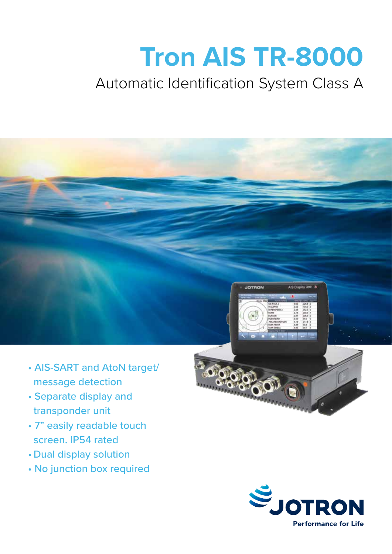# **Tron AIS TR-8000**

## Automatic Identification System Class A



- AIS-SART and AtoN target/ message detection
- Separate display and transponder unit
- 7" easily readable touch screen. IP54 rated
- Dual display solution
- No junction box required